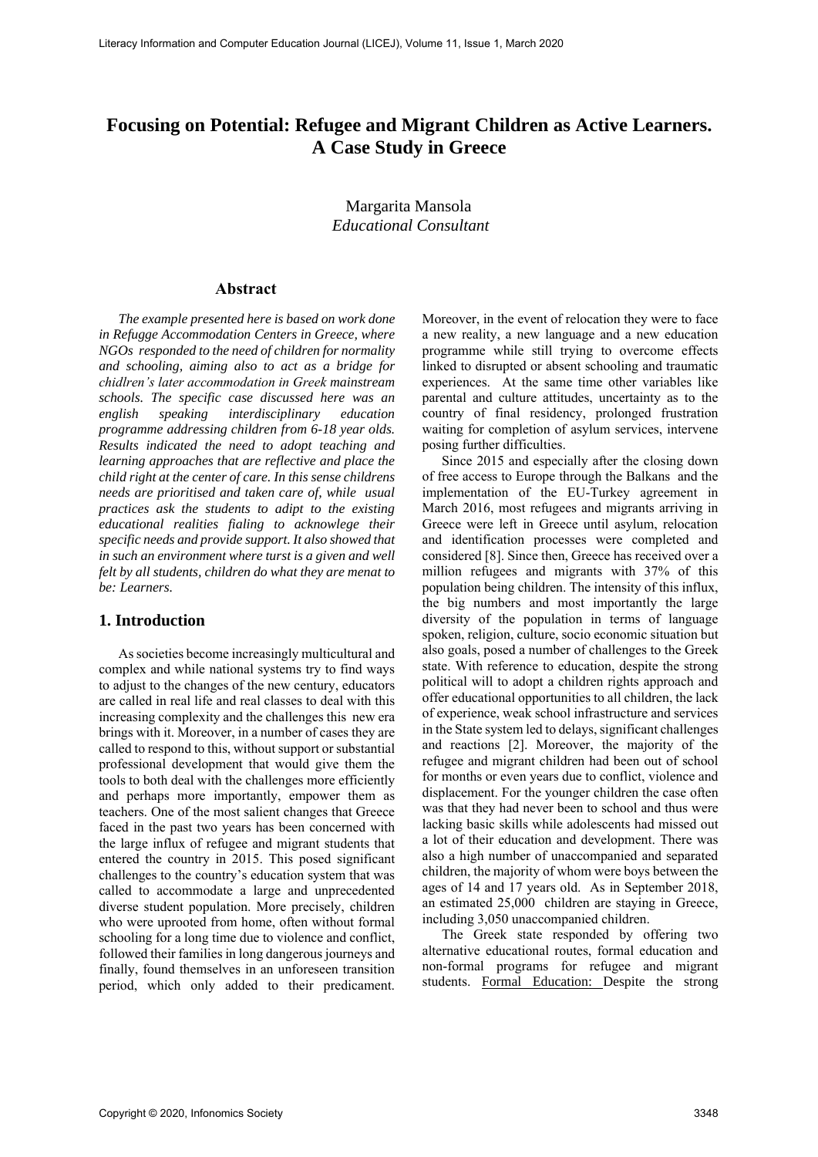# **Focusing on Potential: Refugee and Migrant Children as Active Learners. A Case Study in Greece**

Margarita Mansola *Educational Consultant* 

### **Abstract**

*The example presented here is based on work done in Refugge Accommodation Centers in Greece, where NGOs responded to the need of children for normality and schooling, aiming also to act as a bridge for chidlren's later accommodation in Greek mainstream schools. The specific case discussed here was an english speaking interdisciplinary education programme addressing children from 6-18 year olds. Results indicated the need to adopt teaching and learning approaches that are reflective and place the child right at the center of care. In this sense childrens needs are prioritised and taken care of, while usual practices ask the students to adipt to the existing educational realities fialing to acknowlege their specific needs and provide support. It also showed that in such an environment where turst is a given and well felt by all students, children do what they are menat to be: Learners.* 

#### **1. Introduction**

As societies become increasingly multicultural and complex and while national systems try to find ways to adjust to the changes of the new century, educators are called in real life and real classes to deal with this increasing complexity and the challenges this new era brings with it. Moreover, in a number of cases they are called to respond to this, without support or substantial professional development that would give them the tools to both deal with the challenges more efficiently and perhaps more importantly, empower them as teachers. One of the most salient changes that Greece faced in the past two years has been concerned with the large influx of refugee and migrant students that entered the country in 2015. This posed significant challenges to the country's education system that was called to accommodate a large and unprecedented diverse student population. More precisely, children who were uprooted from home, often without formal schooling for a long time due to violence and conflict, followed their families in long dangerous journeys and finally, found themselves in an unforeseen transition period, which only added to their predicament.

Moreover, in the event of relocation they were to face a new reality, a new language and a new education programme while still trying to overcome effects linked to disrupted or absent schooling and traumatic experiences. At the same time other variables like parental and culture attitudes, uncertainty as to the country of final residency, prolonged frustration waiting for completion of asylum services, intervene posing further difficulties.

Since 2015 and especially after the closing down of free access to Europe through the Balkans and the implementation of the EU-Turkey agreement in March 2016, most refugees and migrants arriving in Greece were left in Greece until asylum, relocation and identification processes were completed and considered [8]. Since then, Greece has received over a million refugees and migrants with 37% of this population being children. The intensity of this influx, the big numbers and most importantly the large diversity of the population in terms of language spoken, religion, culture, socio economic situation but also goals, posed a number of challenges to the Greek state. With reference to education, despite the strong political will to adopt a children rights approach and offer educational opportunities to all children, the lack of experience, weak school infrastructure and services in the State system led to delays, significant challenges and reactions [2]. Moreover, the majority of the refugee and migrant children had been out of school for months or even years due to conflict, violence and displacement. For the younger children the case often was that they had never been to school and thus were lacking basic skills while adolescents had missed out a lot of their education and development. There was also a high number of unaccompanied and separated children, the majority of whom were boys between the ages of 14 and 17 years old. As in September 2018, an estimated 25,000 children are staying in Greece, including 3,050 unaccompanied children.

The Greek state responded by offering two alternative educational routes, formal education and non-formal programs for refugee and migrant students. Formal Education: Despite the strong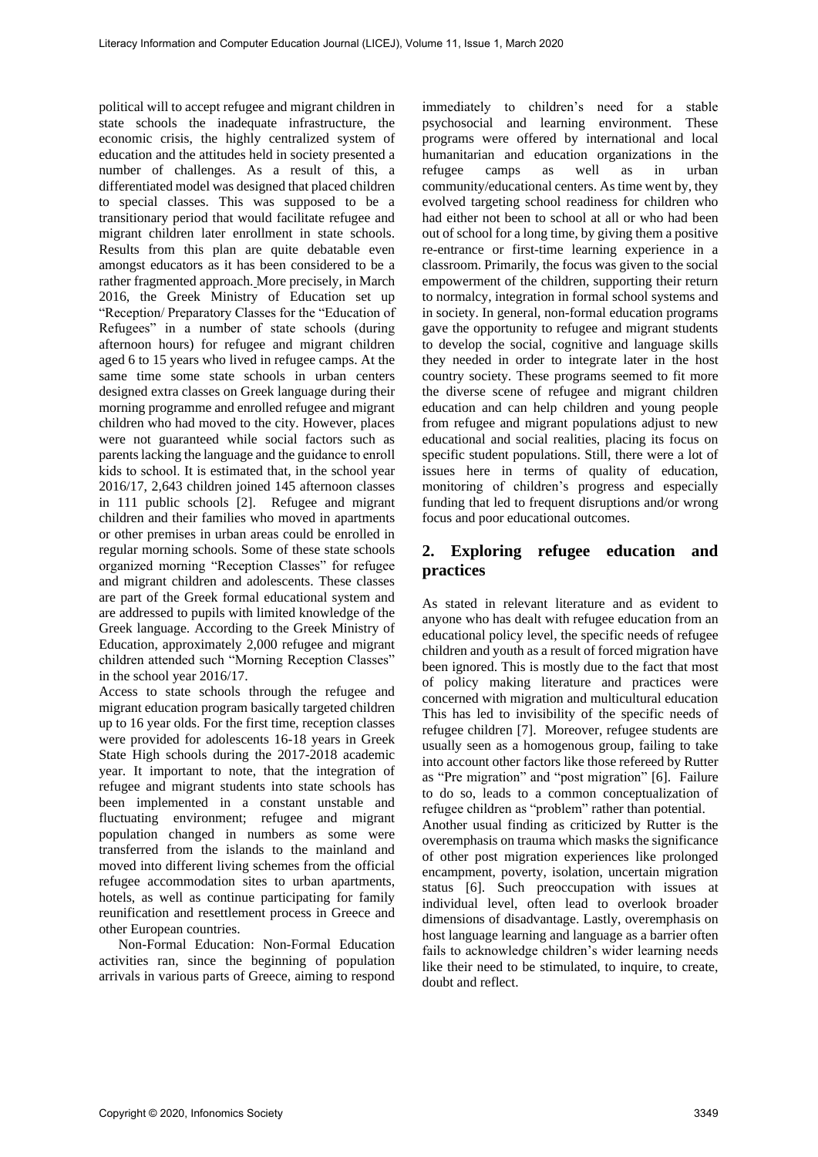political will to accept refugee and migrant children in state schools the inadequate infrastructure, the economic crisis, the highly centralized system of education and the attitudes held in society presented a number of challenges. As a result of this, a differentiated model was designed that placed children to special classes. This was supposed to be a transitionary period that would facilitate refugee and migrant children later enrollment in state schools. Results from this plan are quite debatable even amongst educators as it has been considered to be a rather fragmented approach. More precisely, in March 2016, the Greek Ministry of Education set up "Reception/ Preparatory Classes for the "Education of Refugees" in a number of state schools (during afternoon hours) for refugee and migrant children aged 6 to 15 years who lived in refugee camps. At the same time some state schools in urban centers designed extra classes on Greek language during their morning programme and enrolled refugee and migrant children who had moved to the city. However, places were not guaranteed while social factors such as parents lacking the language and the guidance to enroll kids to school. It is estimated that, in the school year 2016/17, 2,643 children joined 145 afternoon classes in 111 public schools [2]. Refugee and migrant children and their families who moved in apartments or other premises in urban areas could be enrolled in regular morning schools. Some of these state schools organized morning "Reception Classes" for refugee and migrant children and adolescents. These classes are part of the Greek formal educational system and are addressed to pupils with limited knowledge of the Greek language. According to the Greek Ministry of Education, approximately 2,000 refugee and migrant children attended such "Morning Reception Classes" in the school year 2016/17.

Access to state schools through the refugee and migrant education program basically targeted children up to 16 year olds. For the first time, reception classes were provided for adolescents 16-18 years in Greek State High schools during the 2017-2018 academic year. It important to note, that the integration of refugee and migrant students into state schools has been implemented in a constant unstable and fluctuating environment; refugee and migrant population changed in numbers as some were transferred from the islands to the mainland and moved into different living schemes from the official refugee accommodation sites to urban apartments, hotels, as well as continue participating for family reunification and resettlement process in Greece and other European countries.

Non-Formal Education: Non-Formal Education activities ran, since the beginning of population arrivals in various parts of Greece, aiming to respond

immediately to children's need for a stable psychosocial and learning environment. These programs were offered by international and local humanitarian and education organizations in the refugee camps as well as in urban community/educational centers. As time went by, they evolved targeting school readiness for children who had either not been to school at all or who had been out of school for a long time, by giving them a positive re-entrance or first-time learning experience in a classroom. Primarily, the focus was given to the social empowerment of the children, supporting their return to normalcy, integration in formal school systems and in society. In general, non-formal education programs gave the opportunity to refugee and migrant students to develop the social, cognitive and language skills they needed in order to integrate later in the host country society. These programs seemed to fit more the diverse scene of refugee and migrant children education and can help children and young people from refugee and migrant populations adjust to new educational and social realities, placing its focus on specific student populations. Still, there were a lot of issues here in terms of quality of education, monitoring of children's progress and especially funding that led to frequent disruptions and/or wrong focus and poor educational outcomes.

## **2. Exploring refugee education and practices**

As stated in relevant literature and as evident to anyone who has dealt with refugee education from an educational policy level, the specific needs of refugee children and youth as a result of forced migration have been ignored. This is mostly due to the fact that most of policy making literature and practices were concerned with migration and multicultural education This has led to invisibility of the specific needs of refugee children [7]. Moreover, refugee students are usually seen as a homogenous group, failing to take into account other factors like those refereed by Rutter as "Pre migration" and "post migration" [6]. Failure to do so, leads to a common conceptualization of refugee children as "problem" rather than potential. Another usual finding as criticized by Rutter is the overemphasis on trauma which masks the significance of other post migration experiences like prolonged encampment, poverty, isolation, uncertain migration status [6]. Such preoccupation with issues at individual level, often lead to overlook broader dimensions of disadvantage. Lastly, overemphasis on host language learning and language as a barrier often fails to acknowledge children's wider learning needs like their need to be stimulated, to inquire, to create, doubt and reflect.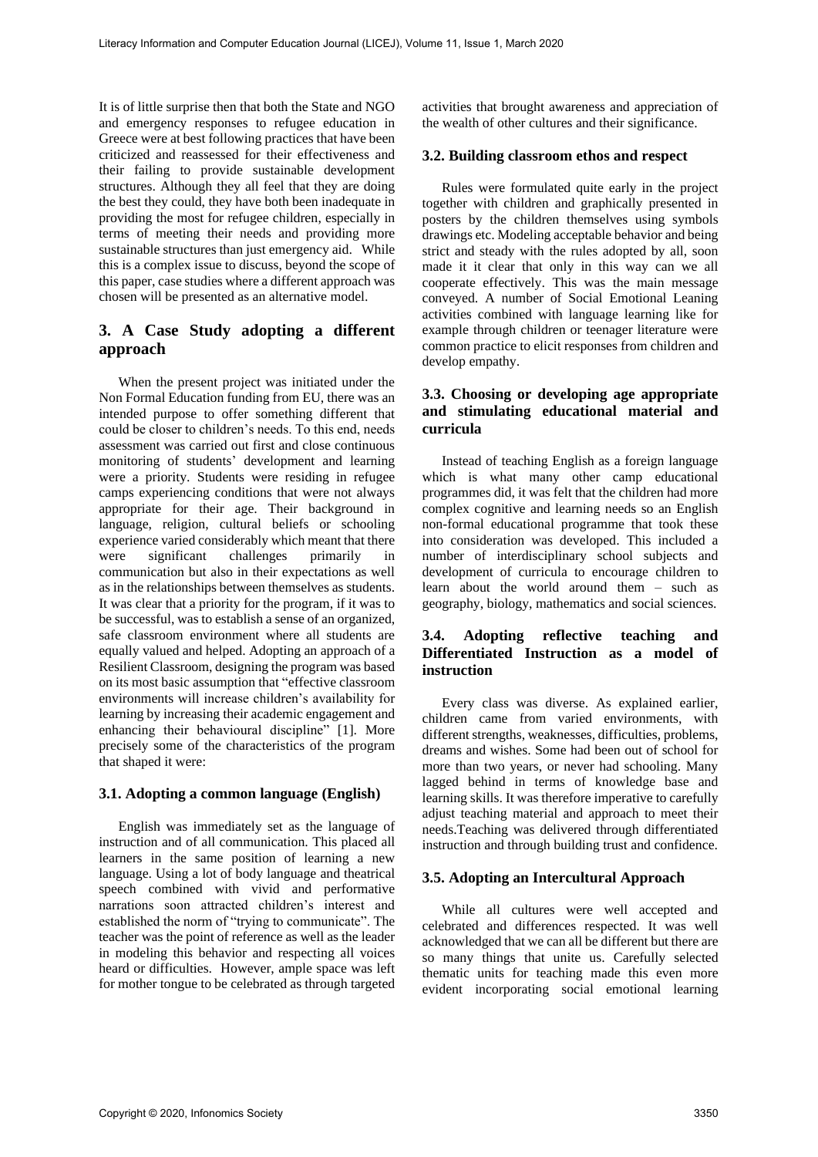It is of little surprise then that both the State and NGO and emergency responses to refugee education in Greece were at best following practices that have been criticized and reassessed for their effectiveness and their failing to provide sustainable development structures. Although they all feel that they are doing the best they could, they have both been inadequate in providing the most for refugee children, especially in terms of meeting their needs and providing more sustainable structures than just emergency aid. While this is a complex issue to discuss, beyond the scope of this paper, case studies where a different approach was chosen will be presented as an alternative model.

# **3. A Case Study adopting a different approach**

When the present project was initiated under the Non Formal Education funding from EU, there was an intended purpose to offer something different that could be closer to children's needs. To this end, needs assessment was carried out first and close continuous monitoring of students' development and learning were a priority. Students were residing in refugee camps experiencing conditions that were not always appropriate for their age. Their background in language, religion, cultural beliefs or schooling experience varied considerably which meant that there were significant challenges primarily in communication but also in their expectations as well as in the relationships between themselves as students. It was clear that a priority for the program, if it was to be successful, was to establish a sense of an organized, safe classroom environment where all students are equally valued and helped. Adopting an approach of a Resilient Classroom, designing the program was based on its most basic assumption that "effective classroom environments will increase children's availability for learning by increasing their academic engagement and enhancing their behavioural discipline" [1]. More precisely some of the characteristics of the program that shaped it were:

### **3.1. Adopting a common language (English)**

English was immediately set as the language of instruction and of all communication. This placed all learners in the same position of learning a new language. Using a lot of body language and theatrical speech combined with vivid and performative narrations soon attracted children's interest and established the norm of "trying to communicate". The teacher was the point of reference as well as the leader in modeling this behavior and respecting all voices heard or difficulties. However, ample space was left for mother tongue to be celebrated as through targeted

activities that brought awareness and appreciation of the wealth of other cultures and their significance.

### **3.2. Building classroom ethos and respect**

Rules were formulated quite early in the project together with children and graphically presented in posters by the children themselves using symbols drawings etc. Modeling acceptable behavior and being strict and steady with the rules adopted by all, soon made it it clear that only in this way can we all cooperate effectively. This was the main message conveyed. A number of Social Emotional Leaning activities combined with language learning like for example through children or teenager literature were common practice to elicit responses from children and develop empathy.

### **3.3. Choosing or developing age appropriate and stimulating educational material and curricula**

Instead of teaching English as a foreign language which is what many other camp educational programmes did, it was felt that the children had more complex cognitive and learning needs so an English non-formal educational programme that took these into consideration was developed. This included a number of interdisciplinary school subjects and development of curricula to encourage children to learn about the world around them – such as geography, biology, mathematics and social sciences.

### **3.4. Adopting reflective teaching and Differentiated Instruction as a model of instruction**

Every class was diverse. As explained earlier, children came from varied environments, with different strengths, weaknesses, difficulties, problems, dreams and wishes. Some had been out of school for more than two years, or never had schooling. Many lagged behind in terms of knowledge base and learning skills. It was therefore imperative to carefully adjust teaching material and approach to meet their needs.Teaching was delivered through differentiated instruction and through building trust and confidence.

### **3.5. Adopting an Intercultural Approach**

While all cultures were well accepted and celebrated and differences respected. It was well acknowledged that we can all be different but there are so many things that unite us. Carefully selected thematic units for teaching made this even more evident incorporating social emotional learning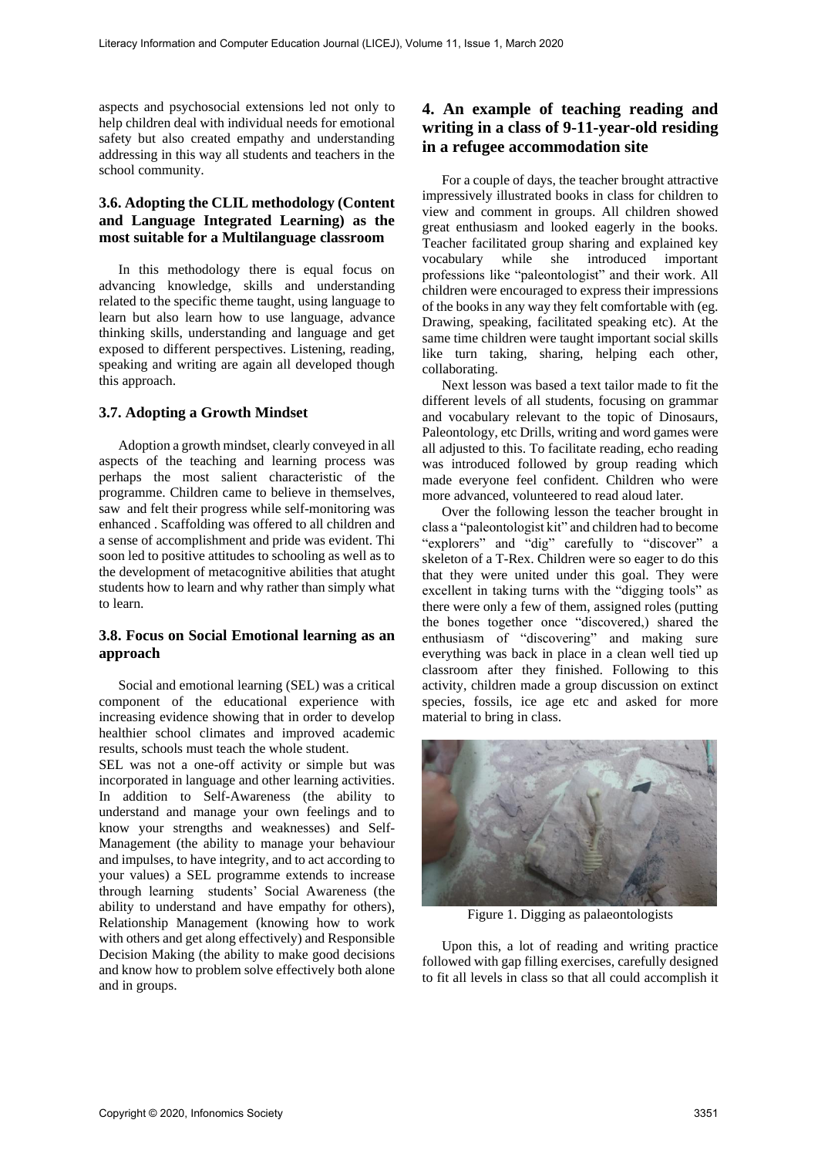aspects and psychosocial extensions led not only to help children deal with individual needs for emotional safety but also created empathy and understanding addressing in this way all students and teachers in the school community.

### **3.6. Adopting the CLIL methodology (Content and Language Integrated Learning) as the most suitable for a Multilanguage classroom**

In this methodology there is equal focus on advancing knowledge, skills and understanding related to the specific theme taught, using language to learn but also learn how to use language, advance thinking skills, understanding and language and get exposed to different perspectives. Listening, reading, speaking and writing are again all developed though this approach.

### **3.7. Adopting a Growth Mindset**

Adoption a growth mindset, clearly conveyed in all aspects of the teaching and learning process was perhaps the most salient characteristic of the programme. Children came to believe in themselves, saw and felt their progress while self-monitoring was enhanced . Scaffolding was offered to all children and a sense of accomplishment and pride was evident. Thi soon led to positive attitudes to schooling as well as to the development of metacognitive abilities that atught students how to learn and why rather than simply what to learn.

### **3.8. Focus on Social Emotional learning as an approach**

Social and emotional learning (SEL) was a critical component of the educational experience with increasing evidence showing that in order to develop healthier school climates and improved academic results, schools must teach the whole student.

SEL was not a one-off activity or simple but was incorporated in language and other learning activities. In addition to Self-Awareness (the ability to understand and manage your own feelings and to know your strengths and weaknesses) and Self-Management (the ability to manage your behaviour and impulses, to have integrity, and to act according to your values) a SEL programme extends to increase through learning students' Social Awareness (the ability to understand and have empathy for others), Relationship Management (knowing how to work with others and get along effectively) and Responsible Decision Making (the ability to make good decisions and know how to problem solve effectively both alone and in groups.

## **4. An example of teaching reading and writing in a class of 9-11-year-old residing in a refugee accommodation site**

For a couple of days, the teacher brought attractive impressively illustrated books in class for children to view and comment in groups. All children showed great enthusiasm and looked eagerly in the books. Teacher facilitated group sharing and explained key vocabulary while she introduced important professions like "paleontologist" and their work. All children were encouraged to express their impressions of the books in any way they felt comfortable with (eg. Drawing, speaking, facilitated speaking etc). At the same time children were taught important social skills like turn taking, sharing, helping each other, collaborating.

Next lesson was based a text tailor made to fit the different levels of all students, focusing on grammar and vocabulary relevant to the topic of Dinosaurs, Paleontology, etc Drills, writing and word games were all adjusted to this. To facilitate reading, echo reading was introduced followed by group reading which made everyone feel confident. Children who were more advanced, volunteered to read aloud later.

Over the following lesson the teacher brought in class a "paleontologist kit" and children had to become "explorers" and "dig" carefully to "discover" a skeleton of a T-Rex. Children were so eager to do this that they were united under this goal. They were excellent in taking turns with the "digging tools" as there were only a few of them, assigned roles (putting the bones together once "discovered,) shared the enthusiasm of "discovering" and making sure everything was back in place in a clean well tied up classroom after they finished. Following to this activity, children made a group discussion on extinct species, fossils, ice age etc and asked for more material to bring in class.



Figure 1. Digging as palaeontologists

Upon this, a lot of reading and writing practice followed with gap filling exercises, carefully designed to fit all levels in class so that all could accomplish it